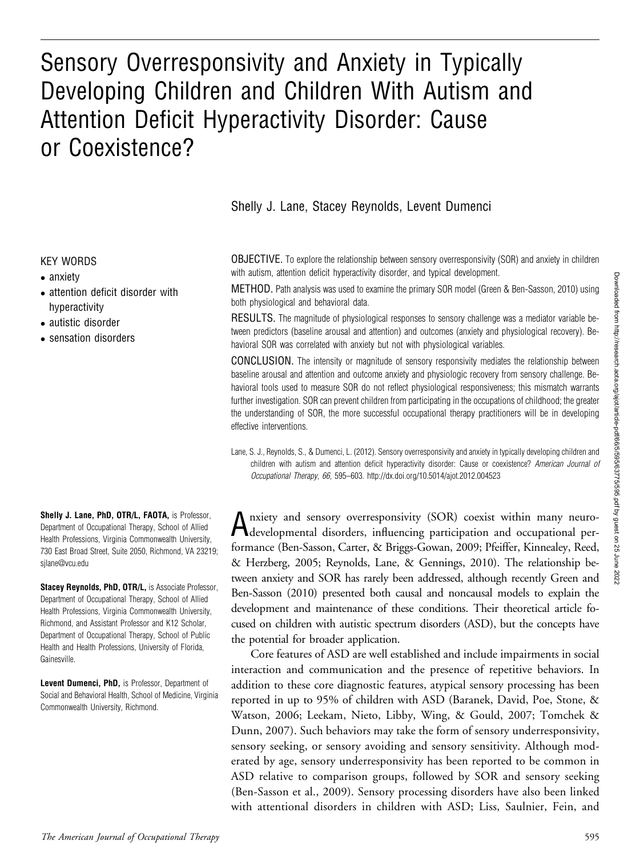# Sensory Overresponsivity and Anxiety in Typically Developing Children and Children With Autism and Attention Deficit Hyperactivity Disorder: Cause or Coexistence?

Shelly J. Lane, Stacey Reynolds, Levent Dumenci

#### KEY WORDS

- anxiety
- attention deficit disorder with hyperactivity
- autistic disorder
- sensation disorders

Shelly J. Lane, PhD, OTR/L, FAOTA, is Professor, Department of Occupational Therapy, School of Allied Health Professions, Virginia Commonwealth University, 730 East Broad Street, Suite 2050, Richmond, VA 23219; silane@vcu.edu

Stacey Reynolds, PhD, OTR/L, is Associate Professor, Department of Occupational Therapy, School of Allied Health Professions, Virginia Commonwealth University, Richmond, and Assistant Professor and K12 Scholar, Department of Occupational Therapy, School of Public Health and Health Professions, University of Florida, Gainesville.

Levent Dumenci, PhD, is Professor, Department of Social and Behavioral Health, School of Medicine, Virginia Commonwealth University, Richmond.

OBJECTIVE. To explore the relationship between sensory overresponsivity (SOR) and anxiety in children with autism, attention deficit hyperactivity disorder, and typical development.

METHOD. Path analysis was used to examine the primary SOR model (Green & Ben-Sasson, 2010) using both physiological and behavioral data.

RESULTS. The magnitude of physiological responses to sensory challenge was a mediator variable between predictors (baseline arousal and attention) and outcomes (anxiety and physiological recovery). Behavioral SOR was correlated with anxiety but not with physiological variables.

CONCLUSION. The intensity or magnitude of sensory responsivity mediates the relationship between baseline arousal and attention and outcome anxiety and physiologic recovery from sensory challenge. Behavioral tools used to measure SOR do not reflect physiological responsiveness; this mismatch warrants further investigation. SOR can prevent children from participating in the occupations of childhood; the greater the understanding of SOR, the more successful occupational therapy practitioners will be in developing effective interventions.

Lane, S. J., Reynolds, S., & Dumenci, L. (2012). Sensory overresponsivity and anxiety in typically developing children and children with autism and attention deficit hyperactivity disorder: Cause or coexistence? American Journal of Occupational Therapy, 66, 595–603. http://dx.doi.org/10.5014/ajot.2012.004523

Anxiety and sensory overresponsivity (SOR) coexist within many neuro-developmental disorders, influencing participation and occupational performance (Ben-Sasson, Carter, & Briggs-Gowan, 2009; Pfeiffer, Kinnealey, Reed, & Herzberg, 2005; Reynolds, Lane, & Gennings, 2010). The relationship between anxiety and SOR has rarely been addressed, although recently Green and Ben-Sasson (2010) presented both causal and noncausal models to explain the development and maintenance of these conditions. Their theoretical article focused on children with autistic spectrum disorders (ASD), but the concepts have the potential for broader application.

Core features of ASD are well established and include impairments in social interaction and communication and the presence of repetitive behaviors. In addition to these core diagnostic features, atypical sensory processing has been reported in up to 95% of children with ASD (Baranek, David, Poe, Stone, & Watson, 2006; Leekam, Nieto, Libby, Wing, & Gould, 2007; Tomchek & Dunn, 2007). Such behaviors may take the form of sensory underresponsivity, sensory seeking, or sensory avoiding and sensory sensitivity. Although moderated by age, sensory underresponsivity has been reported to be common in ASD relative to comparison groups, followed by SOR and sensory seeking (Ben-Sasson et al., 2009). Sensory processing disorders have also been linked with attentional disorders in children with ASD; Liss, Saulnier, Fein, and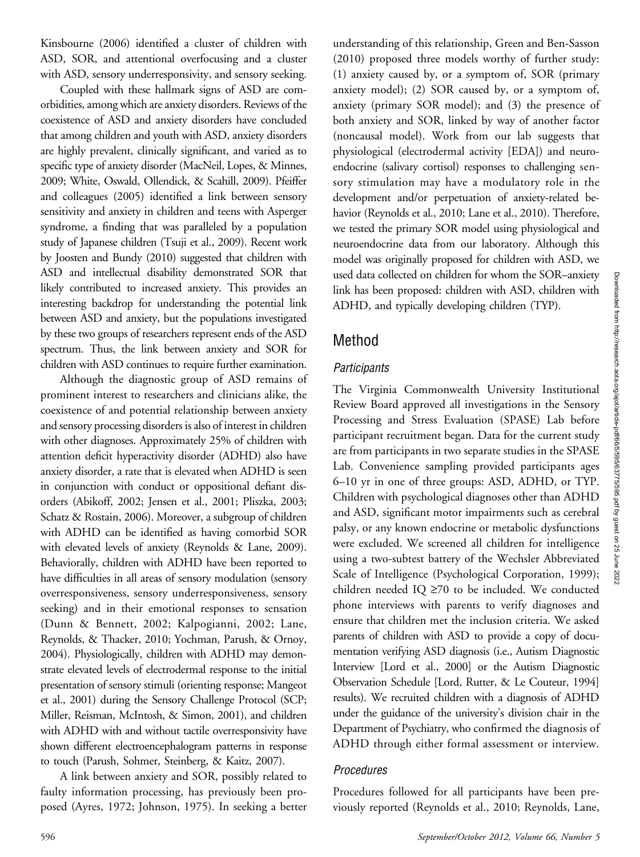Kinsbourne (2006) identified a cluster of children with ASD, SOR, and attentional overfocusing and a cluster with ASD, sensory underresponsivity, and sensory seeking.

Coupled with these hallmark signs of ASD are comorbidities, among which are anxiety disorders. Reviews of the coexistence of ASD and anxiety disorders have concluded that among children and youth with ASD, anxiety disorders are highly prevalent, clinically significant, and varied as to specific type of anxiety disorder (MacNeil, Lopes, & Minnes, 2009; White, Oswald, Ollendick, & Scahill, 2009). Pfeiffer and colleagues (2005) identified a link between sensory sensitivity and anxiety in children and teens with Asperger syndrome, a finding that was paralleled by a population study of Japanese children (Tsuji et al., 2009). Recent work by Joosten and Bundy (2010) suggested that children with ASD and intellectual disability demonstrated SOR that likely contributed to increased anxiety. This provides an interesting backdrop for understanding the potential link between ASD and anxiety, but the populations investigated by these two groups of researchers represent ends of the ASD spectrum. Thus, the link between anxiety and SOR for children with ASD continues to require further examination.

Although the diagnostic group of ASD remains of prominent interest to researchers and clinicians alike, the coexistence of and potential relationship between anxiety and sensory processing disorders is also of interest in children with other diagnoses. Approximately 25% of children with attention deficit hyperactivity disorder (ADHD) also have anxiety disorder, a rate that is elevated when ADHD is seen in conjunction with conduct or oppositional defiant disorders (Abikoff, 2002; Jensen et al., 2001; Pliszka, 2003; Schatz & Rostain, 2006). Moreover, a subgroup of children with ADHD can be identified as having comorbid SOR with elevated levels of anxiety (Reynolds & Lane, 2009). Behaviorally, children with ADHD have been reported to have difficulties in all areas of sensory modulation (sensory overresponsiveness, sensory underresponsiveness, sensory seeking) and in their emotional responses to sensation (Dunn & Bennett, 2002; Kalpogianni, 2002; Lane, Reynolds, & Thacker, 2010; Yochman, Parush, & Ornoy, 2004). Physiologically, children with ADHD may demonstrate elevated levels of electrodermal response to the initial presentation of sensory stimuli (orienting response; Mangeot et al., 2001) during the Sensory Challenge Protocol (SCP; Miller, Reisman, McIntosh, & Simon, 2001), and children with ADHD with and without tactile overresponsivity have shown different electroencephalogram patterns in response to touch (Parush, Sohmer, Steinberg, & Kaitz, 2007).

A link between anxiety and SOR, possibly related to faulty information processing, has previously been proposed (Ayres, 1972; Johnson, 1975). In seeking a better understanding of this relationship, Green and Ben-Sasson (2010) proposed three models worthy of further study: (1) anxiety caused by, or a symptom of, SOR (primary anxiety model); (2) SOR caused by, or a symptom of, anxiety (primary SOR model); and (3) the presence of both anxiety and SOR, linked by way of another factor (noncausal model). Work from our lab suggests that physiological (electrodermal activity [EDA]) and neuroendocrine (salivary cortisol) responses to challenging sensory stimulation may have a modulatory role in the development and/or perpetuation of anxiety-related behavior (Reynolds et al., 2010; Lane et al., 2010). Therefore, we tested the primary SOR model using physiological and neuroendocrine data from our laboratory. Although this model was originally proposed for children with ASD, we used data collected on children for whom the SOR–anxiety link has been proposed: children with ASD, children with ADHD, and typically developing children (TYP).

### Method

### **Participants**

The Virginia Commonwealth University Institutional Review Board approved all investigations in the Sensory Processing and Stress Evaluation (SPASE) Lab before participant recruitment began. Data for the current study are from participants in two separate studies in the SPASE Lab. Convenience sampling provided participants ages 6–10 yr in one of three groups: ASD, ADHD, or TYP. Children with psychological diagnoses other than ADHD and ASD, significant motor impairments such as cerebral palsy, or any known endocrine or metabolic dysfunctions were excluded. We screened all children for intelligence using a two-subtest battery of the Wechsler Abbreviated Scale of Intelligence (Psychological Corporation, 1999); children needed IQ  $\geq$ 70 to be included. We conducted phone interviews with parents to verify diagnoses and ensure that children met the inclusion criteria. We asked parents of children with ASD to provide a copy of documentation verifying ASD diagnosis (i.e., Autism Diagnostic Interview [Lord et al., 2000] or the Autism Diagnostic Observation Schedule [Lord, Rutter, & Le Couteur, 1994] results). We recruited children with a diagnosis of ADHD under the guidance of the university's division chair in the Department of Psychiatry, who confirmed the diagnosis of ADHD through either formal assessment or interview.

### Procedures

Procedures followed for all participants have been previously reported (Reynolds et al., 2010; Reynolds, Lane,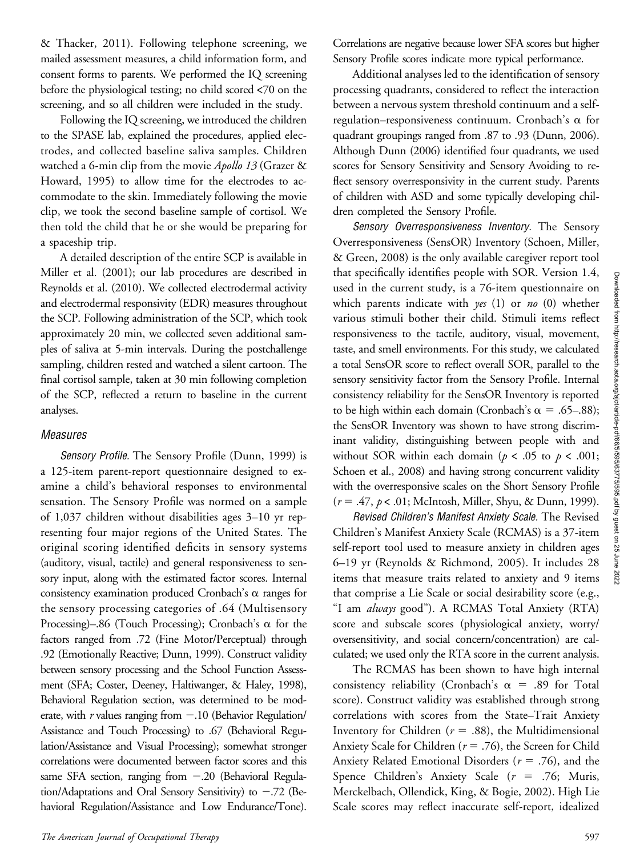& Thacker, 2011). Following telephone screening, we mailed assessment measures, a child information form, and consent forms to parents. We performed the IQ screening before the physiological testing; no child scored <70 on the screening, and so all children were included in the study.

Following the IQ screening, we introduced the children to the SPASE lab, explained the procedures, applied electrodes, and collected baseline saliva samples. Children watched a 6-min clip from the movie Apollo 13 (Grazer & Howard, 1995) to allow time for the electrodes to accommodate to the skin. Immediately following the movie clip, we took the second baseline sample of cortisol. We then told the child that he or she would be preparing for a spaceship trip.

A detailed description of the entire SCP is available in Miller et al. (2001); our lab procedures are described in Reynolds et al. (2010). We collected electrodermal activity and electrodermal responsivity (EDR) measures throughout the SCP. Following administration of the SCP, which took approximately 20 min, we collected seven additional samples of saliva at 5-min intervals. During the postchallenge sampling, children rested and watched a silent cartoon. The final cortisol sample, taken at 30 min following completion of the SCP, reflected a return to baseline in the current analyses.

#### Measures

Sensory Profile. The Sensory Profile (Dunn, 1999) is a 125-item parent-report questionnaire designed to examine a child's behavioral responses to environmental sensation. The Sensory Profile was normed on a sample of 1,037 children without disabilities ages 3–10 yr representing four major regions of the United States. The original scoring identified deficits in sensory systems (auditory, visual, tactile) and general responsiveness to sensory input, along with the estimated factor scores. Internal consistency examination produced Cronbach's  $\alpha$  ranges for the sensory processing categories of .64 (Multisensory Processing)–.86 (Touch Processing); Cronbach's  $\alpha$  for the factors ranged from .72 (Fine Motor/Perceptual) through .92 (Emotionally Reactive; Dunn, 1999). Construct validity between sensory processing and the School Function Assessment (SFA; Coster, Deeney, Haltiwanger, & Haley, 1998), Behavioral Regulation section, was determined to be moderate, with  $r$  values ranging from  $-.10$  (Behavior Regulation/ Assistance and Touch Processing) to .67 (Behavioral Regulation/Assistance and Visual Processing); somewhat stronger correlations were documented between factor scores and this same SFA section, ranging from  $-.20$  (Behavioral Regulation/Adaptations and Oral Sensory Sensitivity) to  $-.72$  (Behavioral Regulation/Assistance and Low Endurance/Tone).

The American Journal of Occupational Therapy 597

Correlations are negative because lower SFA scores but higher Sensory Profile scores indicate more typical performance.

Additional analyses led to the identification of sensory processing quadrants, considered to reflect the interaction between a nervous system threshold continuum and a selfregulation–responsiveness continuum. Cronbach's  $\alpha$  for quadrant groupings ranged from .87 to .93 (Dunn, 2006). Although Dunn (2006) identified four quadrants, we used scores for Sensory Sensitivity and Sensory Avoiding to reflect sensory overresponsivity in the current study. Parents of children with ASD and some typically developing children completed the Sensory Profile.

Sensory Overresponsiveness Inventory. The Sensory Overresponsiveness (SensOR) Inventory (Schoen, Miller, & Green, 2008) is the only available caregiver report tool that specifically identifies people with SOR. Version 1.4, used in the current study, is a 76-item questionnaire on which parents indicate with  $yes(1)$  or no (0) whether various stimuli bother their child. Stimuli items reflect responsiveness to the tactile, auditory, visual, movement, taste, and smell environments. For this study, we calculated a total SensOR score to reflect overall SOR, parallel to the sensory sensitivity factor from the Sensory Profile. Internal consistency reliability for the SensOR Inventory is reported to be high within each domain (Cronbach's  $\alpha = .65-.88$ ); the SensOR Inventory was shown to have strong discriminant validity, distinguishing between people with and without SOR within each domain ( $p < .05$  to  $p < .001$ ; Schoen et al., 2008) and having strong concurrent validity with the overresponsive scales on the Short Sensory Profile  $(r = .47, p < .01;$  McIntosh, Miller, Shyu, & Dunn, 1999).

Revised Children's Manifest Anxiety Scale. The Revised Children's Manifest Anxiety Scale (RCMAS) is a 37-item self-report tool used to measure anxiety in children ages 6–19 yr (Reynolds & Richmond, 2005). It includes 28 items that measure traits related to anxiety and 9 items that comprise a Lie Scale or social desirability score (e.g., "I am always good"). A RCMAS Total Anxiety (RTA) score and subscale scores (physiological anxiety, worry/ oversensitivity, and social concern/concentration) are calculated; we used only the RTA score in the current analysis.

The RCMAS has been shown to have high internal consistency reliability (Cronbach's  $\alpha$  = .89 for Total score). Construct validity was established through strong correlations with scores from the State–Trait Anxiety Inventory for Children ( $r = .88$ ), the Multidimensional Anxiety Scale for Children ( $r = .76$ ), the Screen for Child Anxiety Related Emotional Disorders ( $r = .76$ ), and the Spence Children's Anxiety Scale  $(r = .76;$  Muris, Merckelbach, Ollendick, King, & Bogie, 2002). High Lie Scale scores may reflect inaccurate self-report, idealized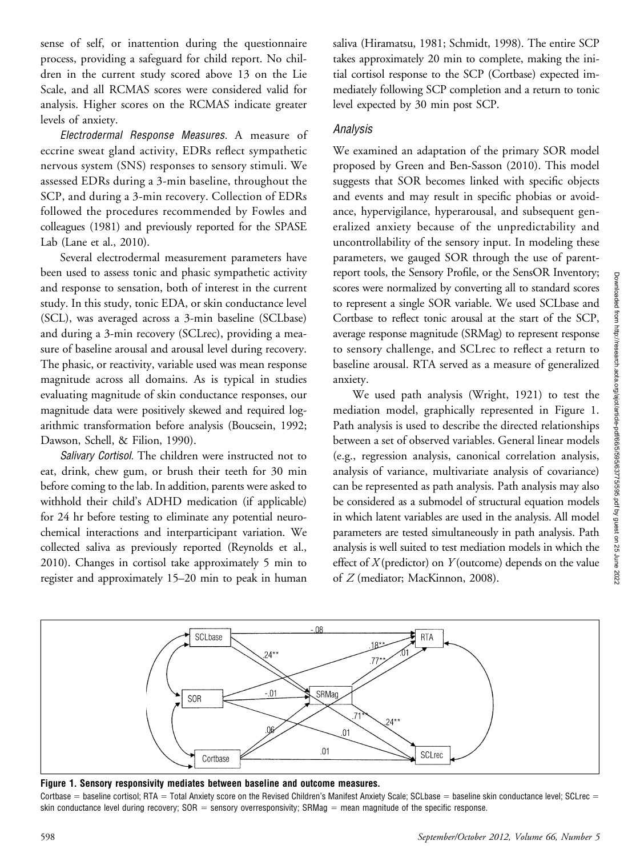sense of self, or inattention during the questionnaire process, providing a safeguard for child report. No children in the current study scored above 13 on the Lie Scale, and all RCMAS scores were considered valid for analysis. Higher scores on the RCMAS indicate greater levels of anxiety.

Electrodermal Response Measures. A measure of eccrine sweat gland activity, EDRs reflect sympathetic nervous system (SNS) responses to sensory stimuli. We assessed EDRs during a 3-min baseline, throughout the SCP, and during a 3-min recovery. Collection of EDRs followed the procedures recommended by Fowles and colleagues (1981) and previously reported for the SPASE Lab (Lane et al., 2010).

Several electrodermal measurement parameters have been used to assess tonic and phasic sympathetic activity and response to sensation, both of interest in the current study. In this study, tonic EDA, or skin conductance level (SCL), was averaged across a 3-min baseline (SCLbase) and during a 3-min recovery (SCLrec), providing a measure of baseline arousal and arousal level during recovery. The phasic, or reactivity, variable used was mean response magnitude across all domains. As is typical in studies evaluating magnitude of skin conductance responses, our magnitude data were positively skewed and required logarithmic transformation before analysis (Boucsein, 1992; Dawson, Schell, & Filion, 1990).

Salivary Cortisol. The children were instructed not to eat, drink, chew gum, or brush their teeth for 30 min before coming to the lab. In addition, parents were asked to withhold their child's ADHD medication (if applicable) for 24 hr before testing to eliminate any potential neurochemical interactions and interparticipant variation. We collected saliva as previously reported (Reynolds et al., 2010). Changes in cortisol take approximately 5 min to register and approximately 15–20 min to peak in human saliva (Hiramatsu, 1981; Schmidt, 1998). The entire SCP takes approximately 20 min to complete, making the initial cortisol response to the SCP (Cortbase) expected immediately following SCP completion and a return to tonic level expected by 30 min post SCP.

#### Analysis

We examined an adaptation of the primary SOR model proposed by Green and Ben-Sasson (2010). This model suggests that SOR becomes linked with specific objects and events and may result in specific phobias or avoidance, hypervigilance, hyperarousal, and subsequent generalized anxiety because of the unpredictability and uncontrollability of the sensory input. In modeling these parameters, we gauged SOR through the use of parentreport tools, the Sensory Profile, or the SensOR Inventory; scores were normalized by converting all to standard scores to represent a single SOR variable. We used SCLbase and Cortbase to reflect tonic arousal at the start of the SCP, average response magnitude (SRMag) to represent response to sensory challenge, and SCLrec to reflect a return to baseline arousal. RTA served as a measure of generalized anxiety.

We used path analysis (Wright, 1921) to test the mediation model, graphically represented in Figure 1. Path analysis is used to describe the directed relationships between a set of observed variables. General linear models (e.g., regression analysis, canonical correlation analysis, analysis of variance, multivariate analysis of covariance) can be represented as path analysis. Path analysis may also be considered as a submodel of structural equation models in which latent variables are used in the analysis. All model parameters are tested simultaneously in path analysis. Path analysis is well suited to test mediation models in which the effect of  $X$ (predictor) on  $Y$ (outcome) depends on the value of Z (mediator; MacKinnon, 2008).



Figure 1. Sensory responsivity mediates between baseline and outcome measures.

Cortbase = baseline cortisol; RTA = Total Anxiety score on the Revised Children's Manifest Anxiety Scale; SCLbase = baseline skin conductance level; SCLrec = skin conductance level during recovery;  $SOR =$  sensory overresponsivity; SRMag  $=$  mean magnitude of the specific response.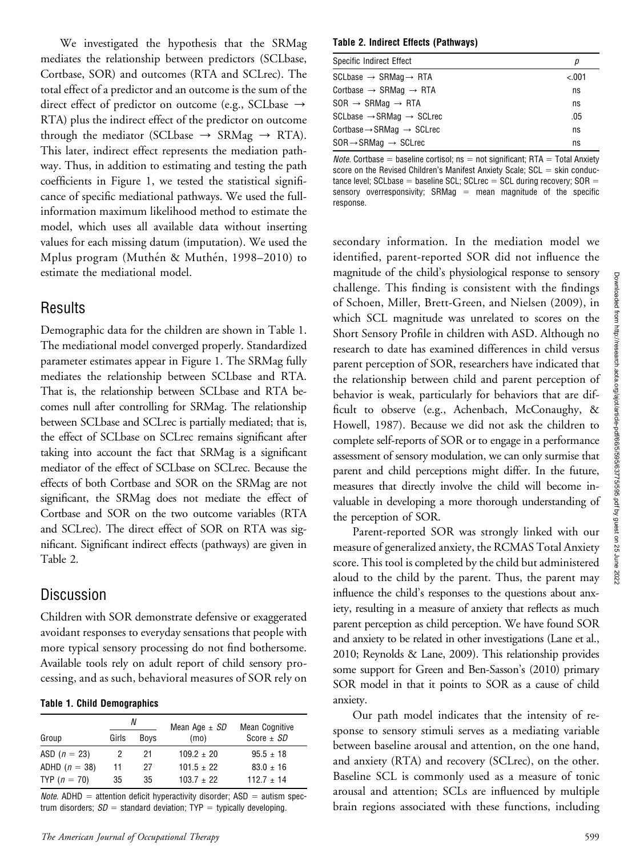We investigated the hypothesis that the SRMag mediates the relationship between predictors (SCLbase, Cortbase, SOR) and outcomes (RTA and SCLrec). The total effect of a predictor and an outcome is the sum of the direct effect of predictor on outcome (e.g., SCLbase  $\rightarrow$ RTA) plus the indirect effect of the predictor on outcome through the mediator (SCLbase  $\rightarrow$  SRMag  $\rightarrow$  RTA). This later, indirect effect represents the mediation pathway. Thus, in addition to estimating and testing the path coefficients in Figure 1, we tested the statistical significance of specific mediational pathways. We used the fullinformation maximum likelihood method to estimate the model, which uses all available data without inserting values for each missing datum (imputation). We used the Mplus program (Muthén & Muthén, 1998–2010) to estimate the mediational model.

# Results

Demographic data for the children are shown in Table 1. The mediational model converged properly. Standardized parameter estimates appear in Figure 1. The SRMag fully mediates the relationship between SCLbase and RTA. That is, the relationship between SCLbase and RTA becomes null after controlling for SRMag. The relationship between SCLbase and SCLrec is partially mediated; that is, the effect of SCLbase on SCLrec remains significant after taking into account the fact that SRMag is a significant mediator of the effect of SCLbase on SCLrec. Because the effects of both Cortbase and SOR on the SRMag are not significant, the SRMag does not mediate the effect of Cortbase and SOR on the two outcome variables (RTA and SCLrec). The direct effect of SOR on RTA was significant. Significant indirect effects (pathways) are given in Table 2.

# Discussion

Children with SOR demonstrate defensive or exaggerated avoidant responses to everyday sensations that people with more typical sensory processing do not find bothersome. Available tools rely on adult report of child sensory processing, and as such, behavioral measures of SOR rely on

#### Table 1. Child Demographics

|                 | N     |             | Mean Age $\pm$ SD | Mean Cognitive |
|-----------------|-------|-------------|-------------------|----------------|
| Group           | Girls | <b>Boys</b> | (mo)              | Score $\pm$ SD |
| ASD $(n = 23)$  |       | 21          | $109.2 \pm 20$    | $95.5 \pm 18$  |
| ADHD $(n = 38)$ | 11    | 27          | $101.5 \pm 22$    | $83.0 \pm 16$  |
| TYP $(n = 70)$  | 35    | 35          | $103.7 \pm 22$    | $112.7 + 14$   |

*Note*. ADHD = attention deficit hyperactivity disorder; ASD = autism spectrum disorders;  $SD =$  standard deviation; TYP = typically developing.

#### Table 2. Indirect Effects (Pathways)

| Specific Indirect Effect                          | р      |
|---------------------------------------------------|--------|
| $SCLbase \rightarrow SRMaa \rightarrow RTA$       | < .001 |
| Cortbase $\rightarrow$ SRMag $\rightarrow$ RTA    | ns     |
| $SOR \rightarrow SRMag \rightarrow RTA$           | ns     |
| $SCLbase \rightarrow SRMaq \rightarrow SCLrec$    | .05    |
| Cortbase $\rightarrow$ SRMag $\rightarrow$ SCLrec | ns     |
| $SOR \rightarrow SRMag \rightarrow SCLrec$        | ns     |

*Note.* Cortbase = baseline cortisol; ns = not significant; RTA = Total Anxiety score on the Revised Children's Manifest Anxiety Scale;  $SCL =$  skin conductance level; SCLbase = baseline SCL; SCLrec = SCL during recovery;  $SOR =$ sensory overresponsivity; SRMag  $=$  mean magnitude of the specific response.

secondary information. In the mediation model we identified, parent-reported SOR did not influence the magnitude of the child's physiological response to sensory challenge. This finding is consistent with the findings of Schoen, Miller, Brett-Green, and Nielsen (2009), in which SCL magnitude was unrelated to scores on the Short Sensory Profile in children with ASD. Although no research to date has examined differences in child versus parent perception of SOR, researchers have indicated that the relationship between child and parent perception of behavior is weak, particularly for behaviors that are difficult to observe (e.g., Achenbach, McConaughy, & Howell, 1987). Because we did not ask the children to complete self-reports of SOR or to engage in a performance assessment of sensory modulation, we can only surmise that parent and child perceptions might differ. In the future, measures that directly involve the child will become invaluable in developing a more thorough understanding of the perception of SOR.

Parent-reported SOR was strongly linked with our measure of generalized anxiety, the RCMAS Total Anxiety score. This tool is completed by the child but administered aloud to the child by the parent. Thus, the parent may influence the child's responses to the questions about anxiety, resulting in a measure of anxiety that reflects as much parent perception as child perception. We have found SOR and anxiety to be related in other investigations (Lane et al., 2010; Reynolds & Lane, 2009). This relationship provides some support for Green and Ben-Sasson's (2010) primary SOR model in that it points to SOR as a cause of child anxiety.

Our path model indicates that the intensity of response to sensory stimuli serves as a mediating variable between baseline arousal and attention, on the one hand, and anxiety (RTA) and recovery (SCLrec), on the other. Baseline SCL is commonly used as a measure of tonic arousal and attention; SCLs are influenced by multiple brain regions associated with these functions, including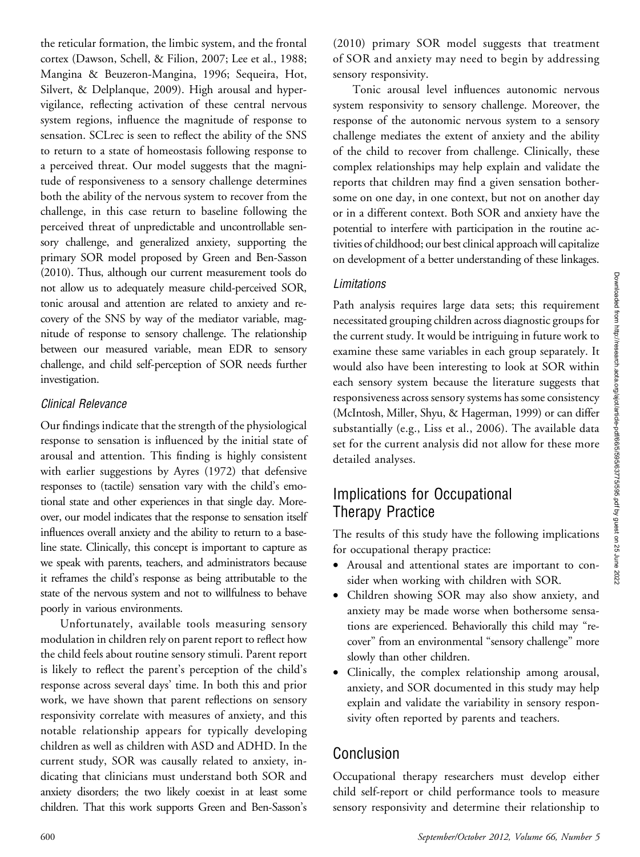the reticular formation, the limbic system, and the frontal cortex (Dawson, Schell, & Filion, 2007; Lee et al., 1988; Mangina & Beuzeron-Mangina, 1996; Sequeira, Hot, Silvert, & Delplanque, 2009). High arousal and hypervigilance, reflecting activation of these central nervous system regions, influence the magnitude of response to sensation. SCLrec is seen to reflect the ability of the SNS to return to a state of homeostasis following response to a perceived threat. Our model suggests that the magnitude of responsiveness to a sensory challenge determines both the ability of the nervous system to recover from the challenge, in this case return to baseline following the perceived threat of unpredictable and uncontrollable sensory challenge, and generalized anxiety, supporting the primary SOR model proposed by Green and Ben-Sasson (2010). Thus, although our current measurement tools do not allow us to adequately measure child-perceived SOR, tonic arousal and attention are related to anxiety and recovery of the SNS by way of the mediator variable, magnitude of response to sensory challenge. The relationship between our measured variable, mean EDR to sensory challenge, and child self-perception of SOR needs further investigation.

### Clinical Relevance

Our findings indicate that the strength of the physiological response to sensation is influenced by the initial state of arousal and attention. This finding is highly consistent with earlier suggestions by Ayres (1972) that defensive responses to (tactile) sensation vary with the child's emotional state and other experiences in that single day. Moreover, our model indicates that the response to sensation itself influences overall anxiety and the ability to return to a baseline state. Clinically, this concept is important to capture as we speak with parents, teachers, and administrators because it reframes the child's response as being attributable to the state of the nervous system and not to willfulness to behave poorly in various environments.

Unfortunately, available tools measuring sensory modulation in children rely on parent report to reflect how the child feels about routine sensory stimuli. Parent report is likely to reflect the parent's perception of the child's response across several days' time. In both this and prior work, we have shown that parent reflections on sensory responsivity correlate with measures of anxiety, and this notable relationship appears for typically developing children as well as children with ASD and ADHD. In the current study, SOR was causally related to anxiety, indicating that clinicians must understand both SOR and anxiety disorders; the two likely coexist in at least some children. That this work supports Green and Ben-Sasson's (2010) primary SOR model suggests that treatment of SOR and anxiety may need to begin by addressing sensory responsivity.

Tonic arousal level influences autonomic nervous system responsivity to sensory challenge. Moreover, the response of the autonomic nervous system to a sensory challenge mediates the extent of anxiety and the ability of the child to recover from challenge. Clinically, these complex relationships may help explain and validate the reports that children may find a given sensation bothersome on one day, in one context, but not on another day or in a different context. Both SOR and anxiety have the potential to interfere with participation in the routine activities of childhood; our best clinical approach will capitalize on development of a better understanding of these linkages.

### Limitations

Path analysis requires large data sets; this requirement necessitated grouping children across diagnostic groups for the current study. It would be intriguing in future work to examine these same variables in each group separately. It would also have been interesting to look at SOR within each sensory system because the literature suggests that responsiveness across sensory systems has some consistency (McIntosh, Miller, Shyu, & Hagerman, 1999) or can differ substantially (e.g., Liss et al., 2006). The available data set for the current analysis did not allow for these more detailed analyses.

### Implications for Occupational Therapy Practice

The results of this study have the following implications for occupational therapy practice:

- Arousal and attentional states are important to consider when working with children with SOR.
- Children showing SOR may also show anxiety, and anxiety may be made worse when bothersome sensations are experienced. Behaviorally this child may "recover" from an environmental "sensory challenge" more slowly than other children.
- Clinically, the complex relationship among arousal, anxiety, and SOR documented in this study may help explain and validate the variability in sensory responsivity often reported by parents and teachers.

# Conclusion

Occupational therapy researchers must develop either child self-report or child performance tools to measure sensory responsivity and determine their relationship to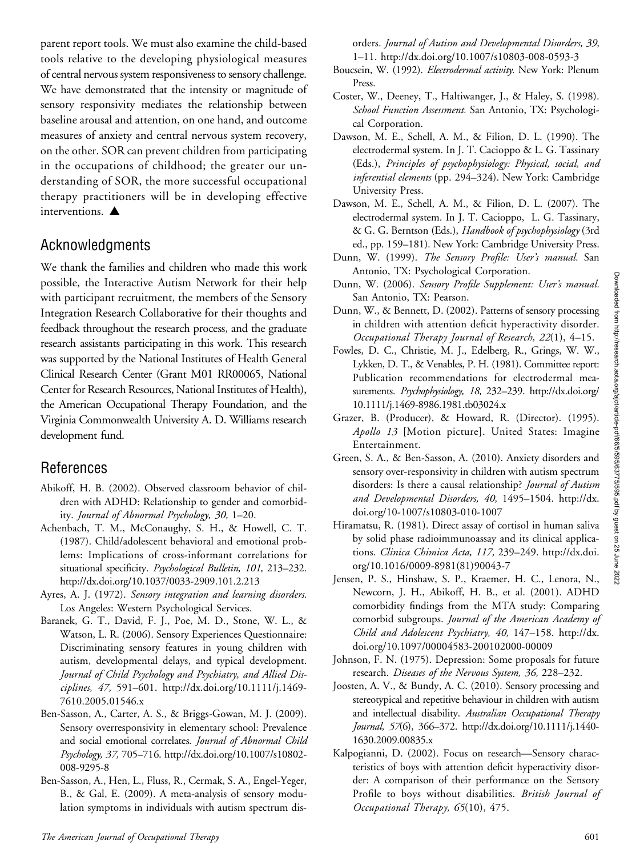parent report tools. We must also examine the child-based tools relative to the developing physiological measures of central nervous system responsiveness to sensory challenge. We have demonstrated that the intensity or magnitude of sensory responsivity mediates the relationship between baseline arousal and attention, on one hand, and outcome measures of anxiety and central nervous system recovery, on the other. SOR can prevent children from participating in the occupations of childhood; the greater our understanding of SOR, the more successful occupational therapy practitioners will be in developing effective interventions.  $\triangle$ 

### Acknowledgments

We thank the families and children who made this work possible, the Interactive Autism Network for their help with participant recruitment, the members of the Sensory Integration Research Collaborative for their thoughts and feedback throughout the research process, and the graduate research assistants participating in this work. This research was supported by the National Institutes of Health General Clinical Research Center (Grant M01 RR00065, National Center for Research Resources, National Institutes of Health), the American Occupational Therapy Foundation, and the Virginia Commonwealth University A. D. Williams research development fund.

### References

- Abikoff, H. B. (2002). Observed classroom behavior of children with ADHD: Relationship to gender and comorbidity. Journal of Abnormal Psychology, 30, 1–20.
- Achenbach, T. M., McConaughy, S. H., & Howell, C. T. (1987). Child/adolescent behavioral and emotional problems: Implications of cross-informant correlations for situational specificity. Psychological Bulletin, 101, 213-232. http://dx.doi.org/10.1037/0033-2909.101.2.213
- Ayres, A. J. (1972). Sensory integration and learning disorders. Los Angeles: Western Psychological Services.
- Baranek, G. T., David, F. J., Poe, M. D., Stone, W. L., & Watson, L. R. (2006). Sensory Experiences Questionnaire: Discriminating sensory features in young children with autism, developmental delays, and typical development. Journal of Child Psychology and Psychiatry, and Allied Disciplines, 47, 591–601. http://dx.doi.org/10.1111/j.1469- 7610.2005.01546.x
- Ben-Sasson, A., Carter, A. S., & Briggs-Gowan, M. J. (2009). Sensory overresponsivity in elementary school: Prevalence and social emotional correlates. Journal of Abnormal Child Psychology, 37, 705–716. http://dx.doi.org/10.1007/s10802- 008-9295-8
- Ben-Sasson, A., Hen, L., Fluss, R., Cermak, S. A., Engel-Yeger, B., & Gal, E. (2009). A meta-analysis of sensory modulation symptoms in individuals with autism spectrum dis-

orders. Journal of Autism and Developmental Disorders, 39, 1–11. http://dx.doi.org/10.1007/s10803-008-0593-3

- Boucsein, W. (1992). Electrodermal activity. New York: Plenum Press.
- Coster, W., Deeney, T., Haltiwanger, J., & Haley, S. (1998). School Function Assessment. San Antonio, TX: Psychological Corporation.
- Dawson, M. E., Schell, A. M., & Filion, D. L. (1990). The electrodermal system. In J. T. Cacioppo & L. G. Tassinary (Eds.), Principles of psychophysiology: Physical, social, and inferential elements (pp. 294–324). New York: Cambridge University Press.
- Dawson, M. E., Schell, A. M., & Filion, D. L. (2007). The electrodermal system. In J. T. Cacioppo, L. G. Tassinary, & G. G. Berntson (Eds.), Handbook of psychophysiology (3rd ed., pp. 159–181). New York: Cambridge University Press.
- Dunn, W. (1999). The Sensory Profile: User's manual. San Antonio, TX: Psychological Corporation.
- Dunn, W. (2006). Sensory Profile Supplement: User's manual. San Antonio, TX: Pearson.
- Dunn, W., & Bennett, D. (2002). Patterns of sensory processing in children with attention deficit hyperactivity disorder. Occupational Therapy Journal of Research, 22(1), 4–15.
- Fowles, D. C., Christie, M. J., Edelberg, R., Grings, W. W., Lykken, D. T., & Venables, P. H. (1981). Committee report: Publication recommendations for electrodermal measurements. Psychophysiology, 18, 232–239. http://dx.doi.org/ 10.1111/j.1469-8986.1981.tb03024.x
- Grazer, B. (Producer), & Howard, R. (Director). (1995). Apollo 13 [Motion picture]. United States: Imagine Entertainment.
- Green, S. A., & Ben-Sasson, A. (2010). Anxiety disorders and sensory over-responsivity in children with autism spectrum disorders: Is there a causal relationship? Journal of Autism and Developmental Disorders, 40, 1495–1504. http://dx. doi.org/10-1007/s10803-010-1007
- Hiramatsu, R. (1981). Direct assay of cortisol in human saliva by solid phase radioimmunoassay and its clinical applications. Clinica Chimica Acta, 117, 239–249. http://dx.doi. org/10.1016/0009-8981(81)90043-7
- Jensen, P. S., Hinshaw, S. P., Kraemer, H. C., Lenora, N., Newcorn, J. H., Abikoff, H. B., et al. (2001). ADHD comorbidity findings from the MTA study: Comparing comorbid subgroups. Journal of the American Academy of Child and Adolescent Psychiatry, 40, 147–158. http://dx. doi.org/10.1097/00004583-200102000-00009
- Johnson, F. N. (1975). Depression: Some proposals for future research. Diseases of the Nervous System, 36, 228–232.
- Joosten, A. V., & Bundy, A. C. (2010). Sensory processing and stereotypical and repetitive behaviour in children with autism and intellectual disability. Australian Occupational Therapy Journal, 57(6), 366–372. http://dx.doi.org/10.1111/j.1440- 1630.2009.00835.x
- Kalpogianni, D. (2002). Focus on research—Sensory characteristics of boys with attention deficit hyperactivity disorder: A comparison of their performance on the Sensory Profile to boys without disabilities. British Journal of Occupational Therapy, 65(10), 475.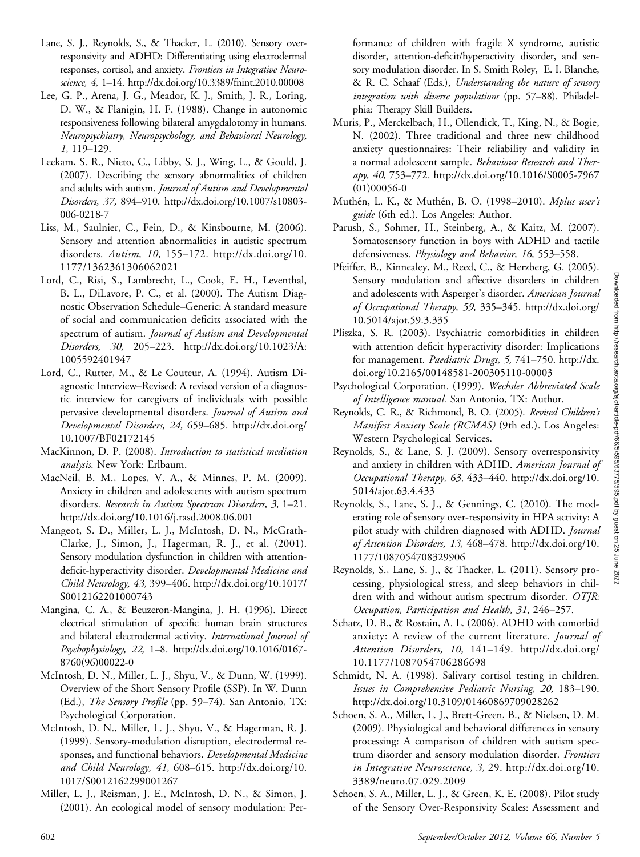- Lane, S. J., Reynolds, S., & Thacker, L. (2010). Sensory overresponsivity and ADHD: Differentiating using electrodermal responses, cortisol, and anxiety. Frontiers in Integrative Neuroscience, 4, 1–14. http://dx.doi.org/10.3389/fnint.2010.00008
- Lee, G. P., Arena, J. G., Meador, K. J., Smith, J. R., Loring, D. W., & Flanigin, H. F. (1988). Change in autonomic responsiveness following bilateral amygdalotomy in humans. Neuropsychiatry, Neuropsychology, and Behavioral Neurology, 1, 119–129.
- Leekam, S. R., Nieto, C., Libby, S. J., Wing, L., & Gould, J. (2007). Describing the sensory abnormalities of children and adults with autism. Journal of Autism and Developmental Disorders, 37, 894–910. http://dx.doi.org/10.1007/s10803- 006-0218-7
- Liss, M., Saulnier, C., Fein, D., & Kinsbourne, M. (2006). Sensory and attention abnormalities in autistic spectrum disorders. Autism, 10, 155–172. http://dx.doi.org/10. 1177/1362361306062021
- Lord, C., Risi, S., Lambrecht, L., Cook, E. H., Leventhal, B. L., DiLavore, P. C., et al. (2000). The Autism Diagnostic Observation Schedule–Generic: A standard measure of social and communication deficits associated with the spectrum of autism. Journal of Autism and Developmental Disorders, 30, 205–223. http://dx.doi.org/10.1023/A: 1005592401947
- Lord, C., Rutter, M., & Le Couteur, A. (1994). Autism Diagnostic Interview–Revised: A revised version of a diagnostic interview for caregivers of individuals with possible pervasive developmental disorders. Journal of Autism and Developmental Disorders, 24, 659–685. http://dx.doi.org/ 10.1007/BF02172145
- MacKinnon, D. P. (2008). Introduction to statistical mediation analysis. New York: Erlbaum.
- MacNeil, B. M., Lopes, V. A., & Minnes, P. M. (2009). Anxiety in children and adolescents with autism spectrum disorders. Research in Autism Spectrum Disorders, 3, 1–21. http://dx.doi.org/10.1016/j.rasd.2008.06.001
- Mangeot, S. D., Miller, L. J., McIntosh, D. N., McGrath-Clarke, J., Simon, J., Hagerman, R. J., et al. (2001). Sensory modulation dysfunction in children with attentiondeficit-hyperactivity disorder. Developmental Medicine and Child Neurology, 43, 399–406. http://dx.doi.org/10.1017/ S0012162201000743
- Mangina, C. A., & Beuzeron-Mangina, J. H. (1996). Direct electrical stimulation of specific human brain structures and bilateral electrodermal activity. International Journal of Psychophysiology, 22, 1–8. http://dx.doi.org/10.1016/0167- 8760(96)00022-0
- McIntosh, D. N., Miller, L. J., Shyu, V., & Dunn, W. (1999). Overview of the Short Sensory Profile (SSP). In W. Dunn (Ed.), The Sensory Profile (pp. 59–74). San Antonio, TX: Psychological Corporation.
- McIntosh, D. N., Miller, L. J., Shyu, V., & Hagerman, R. J. (1999). Sensory-modulation disruption, electrodermal responses, and functional behaviors. Developmental Medicine and Child Neurology, 41, 608–615. http://dx.doi.org/10. 1017/S0012162299001267
- Miller, L. J., Reisman, J. E., McIntosh, D. N., & Simon, J. (2001). An ecological model of sensory modulation: Per-

formance of children with fragile X syndrome, autistic disorder, attention-deficit/hyperactivity disorder, and sensory modulation disorder. In S. Smith Roley, E. I. Blanche, & R. C. Schaaf (Eds.), Understanding the nature of sensory integration with diverse populations (pp. 57–88). Philadelphia: Therapy Skill Builders.

- Muris, P., Merckelbach, H., Ollendick, T., King, N., & Bogie, N. (2002). Three traditional and three new childhood anxiety questionnaires: Their reliability and validity in a normal adolescent sample. Behaviour Research and Therapy, 40, 753–772. http://dx.doi.org/10.1016/S0005-7967  $(01)00056-0$
- Muthén, L. K., & Muthén, B. O. (1998–2010). Mplus user's guide (6th ed.). Los Angeles: Author.
- Parush, S., Sohmer, H., Steinberg, A., & Kaitz, M. (2007). Somatosensory function in boys with ADHD and tactile defensiveness. Physiology and Behavior, 16, 553–558.
- Pfeiffer, B., Kinnealey, M., Reed, C., & Herzberg, G. (2005). Sensory modulation and affective disorders in children and adolescents with Asperger's disorder. American Journal of Occupational Therapy, 59, 335–345. http://dx.doi.org/ 10.5014/ajot.59.3.335
- Pliszka, S. R. (2003). Psychiatric comorbidities in children with attention deficit hyperactivity disorder: Implications for management. Paediatric Drugs, 5, 741–750. http://dx. doi.org/10.2165/00148581-200305110-00003
- Psychological Corporation. (1999). Wechsler Abbreviated Scale of Intelligence manual. San Antonio, TX: Author.
- Reynolds, C. R., & Richmond, B. O. (2005). Revised Children's Manifest Anxiety Scale (RCMAS) (9th ed.). Los Angeles: Western Psychological Services.
- Reynolds, S., & Lane, S. J. (2009). Sensory overresponsivity and anxiety in children with ADHD. American Journal of Occupational Therapy, 63, 433–440. http://dx.doi.org/10. 5014/ajot.63.4.433
- Reynolds, S., Lane, S. J., & Gennings, C. (2010). The moderating role of sensory over-responsivity in HPA activity: A pilot study with children diagnosed with ADHD. Journal of Attention Disorders, 13, 468–478. http://dx.doi.org/10. 1177/1087054708329906
- Reynolds, S., Lane, S. J., & Thacker, L. (2011). Sensory processing, physiological stress, and sleep behaviors in children with and without autism spectrum disorder. OTJR: Occupation, Participation and Health, 31, 246–257.
- Schatz, D. B., & Rostain, A. L. (2006). ADHD with comorbid anxiety: A review of the current literature. Journal of Attention Disorders, 10, 141–149. http://dx.doi.org/ 10.1177/1087054706286698
- Schmidt, N. A. (1998). Salivary cortisol testing in children. Issues in Comprehensive Pediatric Nursing, 20, 183–190. http://dx.doi.org/10.3109/01460869709028262
- Schoen, S. A., Miller, L. J., Brett-Green, B., & Nielsen, D. M. (2009). Physiological and behavioral differences in sensory processing: A comparison of children with autism spectrum disorder and sensory modulation disorder. Frontiers in Integrative Neuroscience, 3, 29. http://dx.doi.org/10. 3389/neuro.07.029.2009
- Schoen, S. A., Miller, L. J., & Green, K. E. (2008). Pilot study of the Sensory Over-Responsivity Scales: Assessment and